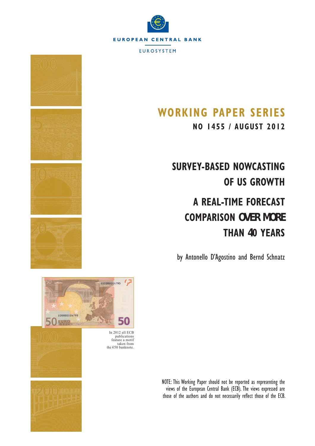

**EUROSYSTEM** 



**NO 1455 / AUGUST 2012**

# **SURVEY-BASED NOWCASTING OF US GROWTH**

# **A REAL-TIME FORECAST COMPARISON OVER MORE THAN 40 YEARS**

by Antonello D'Agostino and Bernd Schnatz



In 2012 all ECB publications feature a motif taken from the  $\epsilon$ 50 banknote.

50

 $\epsilon$ 

\$00000004795

NOTE: This Working Paper should not be reported as representing the views of the European Central Bank (ECB). The views expressed are those of the authors and do not necessarily reflect those of the ECB.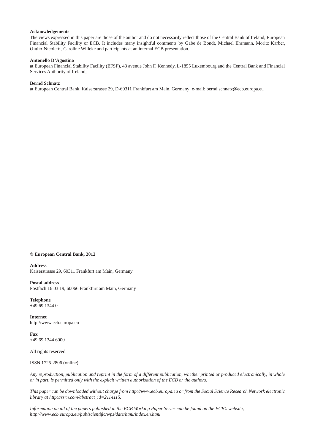#### **Acknowledgements**

The views expressed in this paper are those of the author and do not necessarily reflect those of the Central Bank of Ireland, European Financial Stability Facility or ECB. It includes many insightful comments by Gabe de Bondt, Michael Ehrmann, Moritz Karber, Giulio Nicoletti, Caroline Willeke and participants at an internal ECB presentation.

#### **Antonello D'Agostino**

at European Financial Stability Facility (EFSF), 43 avenue John F. Kennedy, L-1855 Luxembourg and the Central Bank and Financial Services Authority of Ireland;

#### **Bernd Schnatz**

at European Central Bank, Kaiserstrasse 29, D-60311 Frankfurt am Main, Germany; e-mail: bernd.schnatz@ecb.europa.eu

#### **© European Central Bank, 2012**

**Address**

Kaiserstrasse 29, 60311 Frankfurt am Main, Germany

#### **Postal address**

Postfach 16 03 19, 60066 Frankfurt am Main, Germany

**Telephone** +49 69 1344 0

**Internet** http://www.ecb.europa.eu

**Fax** +49 69 1344 6000

All rights reserved.

ISSN 1725-2806 (online)

*Any reproduction, publication and reprint in the form of a different publication, whether printed or produced electronically, in whole or in part, is permitted only with the explicit written authorisation of the ECB or the authors.*

*This paper can be downloaded without charge from http://www.ecb.europa.eu or from the Social Science Research Network electronic library at http://ssrn.com/abstract\_id=2114115.*

*Information on all of the papers published in the ECB Working Paper Series can be found on the ECB's website, http://www.ecb.europa.eu/pub/scientifi c/wps/date/html/index.en.html*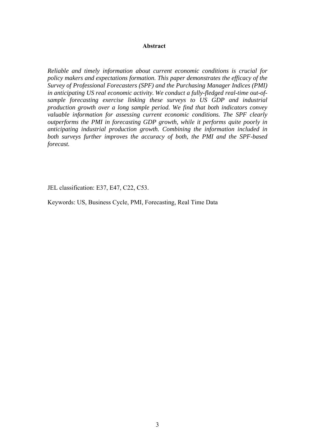### **Abstract**

*Reliable and timely information about current economic conditions is crucial for policy makers and expectations formation. This paper demonstrates the efficacy of the Survey of Professional Forecasters (SPF) and the Purchasing Manager Indices (PMI) in anticipating US real economic activity. We conduct a fully-fledged real-time out-ofsample forecasting exercise linking these surveys to US GDP and industrial production growth over a long sample period. We find that both indicators convey valuable information for assessing current economic conditions. The SPF clearly outperforms the PMI in forecasting GDP growth, while it performs quite poorly in anticipating industrial production growth. Combining the information included in both surveys further improves the accuracy of both, the PMI and the SPF-based forecast.* 

JEL classification: E37, E47, C22, C53.

Keywords: US, Business Cycle, PMI, Forecasting, Real Time Data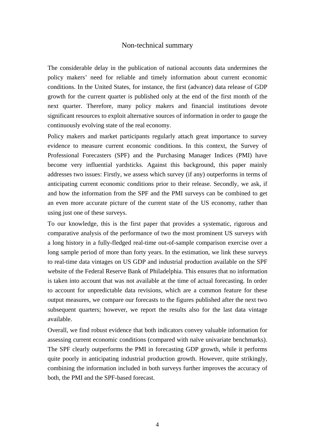## Non-technical summary

The considerable delay in the publication of national accounts data undermines the policy makers' need for reliable and timely information about current economic conditions. In the United States, for instance, the first (advance) data release of GDP growth for the current quarter is published only at the end of the first month of the next quarter. Therefore, many policy makers and financial institutions devote significant resources to exploit alternative sources of information in order to gauge the continuously evolving state of the real economy.

Policy makers and market participants regularly attach great importance to survey evidence to measure current economic conditions. In this context, the Survey of Professional Forecasters (SPF) and the Purchasing Manager Indices (PMI) have become very influential yardsticks. Against this background, this paper mainly addresses two issues: Firstly, we assess which survey (if any) outperforms in terms of anticipating current economic conditions prior to their release. Secondly, we ask, if and how the information from the SPF and the PMI surveys can be combined to get an even more accurate picture of the current state of the US economy, rather than using just one of these surveys.

To our knowledge, this is the first paper that provides a systematic, rigorous and comparative analysis of the performance of two the most prominent US surveys with a long history in a fully-fledged real-time out-of-sample comparison exercise over a long sample period of more than forty years. In the estimation, we link these surveys to real-time data vintages on US GDP and industrial production available on the SPF website of the Federal Reserve Bank of Philadelphia. This ensures that no information is taken into account that was not available at the time of actual forecasting. In order to account for unpredictable data revisions, which are a common feature for these output measures, we compare our forecasts to the figures published after the next two subsequent quarters; however, we report the results also for the last data vintage available.

Overall, we find robust evidence that both indicators convey valuable information for assessing current economic conditions (compared with naïve univariate benchmarks). The SPF clearly outperforms the PMI in forecasting GDP growth, while it performs quite poorly in anticipating industrial production growth. However, quite strikingly, combining the information included in both surveys further improves the accuracy of both, the PMI and the SPF-based forecast.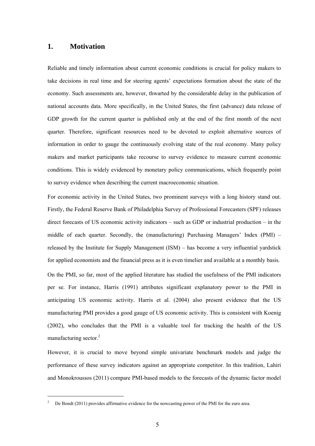## **1. Motivation**

 $\overline{a}$ 

Reliable and timely information about current economic conditions is crucial for policy makers to take decisions in real time and for steering agents' expectations formation about the state of the economy. Such assessments are, however, thwarted by the considerable delay in the publication of national accounts data. More specifically, in the United States, the first (advance) data release of GDP growth for the current quarter is published only at the end of the first month of the next quarter. Therefore, significant resources need to be devoted to exploit alternative sources of information in order to gauge the continuously evolving state of the real economy. Many policy makers and market participants take recourse to survey evidence to measure current economic conditions. This is widely evidenced by monetary policy communications, which frequently point to survey evidence when describing the current macroeconomic situation.

For economic activity in the United States, two prominent surveys with a long history stand out. Firstly, the Federal Reserve Bank of Philadelphia Survey of Professional Forecasters (SPF) releases direct forecasts of US economic activity indicators – such as GDP or industrial production – in the middle of each quarter. Secondly, the (manufacturing) Purchasing Managers' Index (PMI) – released by the Institute for Supply Management (ISM) – has become a very influential yardstick for applied economists and the financial press as it is even timelier and available at a monthly basis.

On the PMI, so far, most of the applied literature has studied the usefulness of the PMI indicators per se. For instance, Harris (1991) attributes significant explanatory power to the PMI in anticipating US economic activity. Harris et al. (2004) also present evidence that the US manufacturing PMI provides a good gauge of US economic activity. This is consistent with Koenig (2002), who concludes that the PMI is a valuable tool for tracking the health of the US manufacturing sector.<sup>2</sup>

However, it is crucial to move beyond simple univariate benchmark models and judge the performance of these survey indicators against an appropriate competitor. In this tradition, Lahiri and Monokroussos (2011) compare PMI-based models to the forecasts of the dynamic factor model

<sup>2</sup> De Bondt (2011) provides affirmative evidence for the nowcasting power of the PMI for the euro area.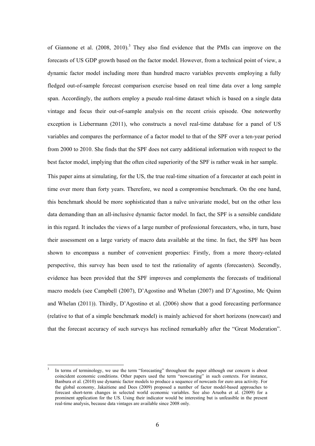of Giannone et al.  $(2008, 2010)$ .<sup>3</sup> They also find evidence that the PMIs can improve on the forecasts of US GDP growth based on the factor model. However, from a technical point of view, a dynamic factor model including more than hundred macro variables prevents employing a fully fledged out-of-sample forecast comparison exercise based on real time data over a long sample span. Accordingly, the authors employ a pseudo real-time dataset which is based on a single data vintage and focus their out-of-sample analysis on the recent crisis episode. One noteworthy exception is Liebermann (2011), who constructs a novel real-time database for a panel of US variables and compares the performance of a factor model to that of the SPF over a ten-year period from 2000 to 2010. She finds that the SPF does not carry additional information with respect to the best factor model, implying that the often cited superiority of the SPF is rather weak in her sample.

This paper aims at simulating, for the US, the true real-time situation of a forecaster at each point in time over more than forty years. Therefore, we need a compromise benchmark. On the one hand, this benchmark should be more sophisticated than a naïve univariate model, but on the other less data demanding than an all-inclusive dynamic factor model. In fact, the SPF is a sensible candidate in this regard. It includes the views of a large number of professional forecasters, who, in turn, base their assessment on a large variety of macro data available at the time. In fact, the SPF has been shown to encompass a number of convenient properties: Firstly, from a more theory-related perspective, this survey has been used to test the rationality of agents (forecasters). Secondly, evidence has been provided that the SPF improves and complements the forecasts of traditional macro models (see Campbell (2007), D'Agostino and Whelan (2007) and D'Agostino, Mc Quinn and Whelan (2011)). Thirdly, D'Agostino et al. (2006) show that a good forecasting performance (relative to that of a simple benchmark model) is mainly achieved for short horizons (nowcast) and that the forecast accuracy of such surveys has reclined remarkably after the "Great Moderation".

 $\overline{a}$ 

<sup>3</sup> In terms of terminology, we use the term "forecasting" throughout the paper although our concern is about coincident economic conditions. Other papers used the term "nowcasting" in such contexts. For instance, Banbura et al. (2010) use dynamic factor models to produce a sequence of nowcasts for euro area activity. For the global economy, Jakaitiene and Dees (2009) proposed a number of factor model-based approaches to forecast short-term changes in selected world economic variables. See also Aruoba et al. (2009) for a prominent application for the US. Using their indicator would be interesting but is unfeasible in the present real-time analysis, because data vintages are available since 2008 only.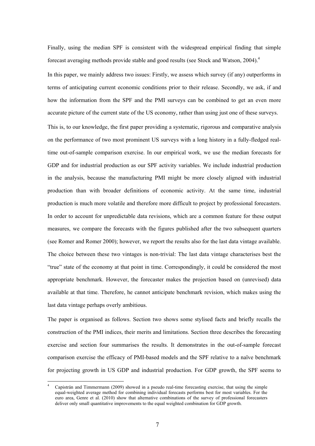Finally, using the median SPF is consistent with the widespread empirical finding that simple forecast averaging methods provide stable and good results (see Stock and Watson, 2004).<sup>4</sup>

In this paper, we mainly address two issues: Firstly, we assess which survey (if any) outperforms in terms of anticipating current economic conditions prior to their release. Secondly, we ask, if and how the information from the SPF and the PMI surveys can be combined to get an even more accurate picture of the current state of the US economy, rather than using just one of these surveys.

This is, to our knowledge, the first paper providing a systematic, rigorous and comparative analysis on the performance of two most prominent US surveys with a long history in a fully-fledged realtime out-of-sample comparison exercise. In our empirical work, we use the median forecasts for GDP and for industrial production as our SPF activity variables. We include industrial production in the analysis, because the manufacturing PMI might be more closely aligned with industrial production than with broader definitions of economic activity. At the same time, industrial production is much more volatile and therefore more difficult to project by professional forecasters. In order to account for unpredictable data revisions, which are a common feature for these output measures, we compare the forecasts with the figures published after the two subsequent quarters (see Romer and Romer 2000); however, we report the results also for the last data vintage available. The choice between these two vintages is non-trivial: The last data vintage characterises best the "true" state of the economy at that point in time. Correspondingly, it could be considered the most appropriate benchmark. However, the forecaster makes the projection based on (unrevised) data available at that time. Therefore, he cannot anticipate benchmark revision, which makes using the last data vintage perhaps overly ambitious.

The paper is organised as follows. Section two shows some stylised facts and briefly recalls the construction of the PMI indices, their merits and limitations. Section three describes the forecasting exercise and section four summarises the results. It demonstrates in the out-of-sample forecast comparison exercise the efficacy of PMI-based models and the SPF relative to a naïve benchmark for projecting growth in US GDP and industrial production. For GDP growth, the SPF seems to

 $\overline{a}$ 

<sup>4</sup> Capistrán and Timmermann (2009) showed in a pseudo real-time forecasting exercise, that using the simple equal-weighted average method for combining individual forecasts performs best for most variables. For the euro area, Genre et al. (2010) show that alternative combinations of the survey of professional forecasters deliver only small quantitative improvements to the equal weighted combination for GDP growth.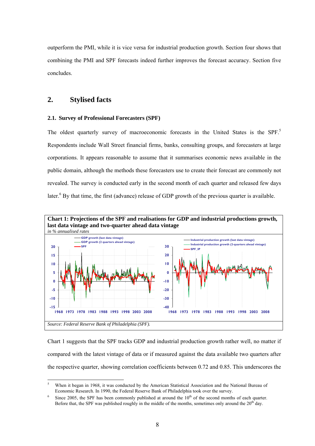outperform the PMI, while it is vice versa for industrial production growth. Section four shows that combining the PMI and SPF forecasts indeed further improves the forecast accuracy. Section five concludes.

# **2. Stylised facts**

 $\overline{a}$ 

### **2.1. Survey of Professional Forecasters (SPF)**

The oldest quarterly survey of macroeconomic forecasts in the United States is the SPF.<sup>5</sup> Respondents include Wall Street financial firms, banks, consulting groups, and forecasters at large corporations. It appears reasonable to assume that it summarises economic news available in the public domain, although the methods these forecasters use to create their forecast are commonly not revealed. The survey is conducted early in the second month of each quarter and released few days later.<sup>6</sup> By that time, the first (advance) release of GDP growth of the previous quarter is available.



Chart 1 suggests that the SPF tracks GDP and industrial production growth rather well, no matter if compared with the latest vintage of data or if measured against the data available two quarters after the respective quarter, showing correlation coefficients between 0.72 and 0.85. This underscores the

<sup>5</sup> When it began in 1968, it was conducted by the American Statistical Association and the National Bureau of Economic Research. In 1990, the Federal Reserve Bank of Philadelphia took over the survey.

<sup>6</sup> Since 2005, the SPF has been commonly published at around the  $10<sup>th</sup>$  of the second months of each quarter. Before that, the SPF was published roughly in the middle of the months, sometimes only around the  $20<sup>th</sup>$  day.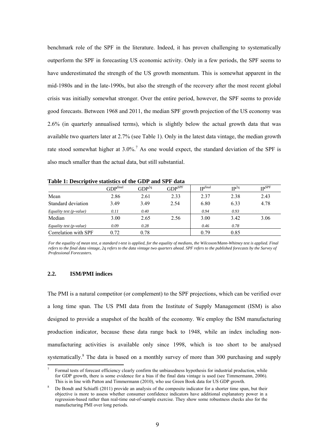benchmark role of the SPF in the literature. Indeed, it has proven challenging to systematically outperform the SPF in forecasting US economic activity. Only in a few periods, the SPF seems to have underestimated the strength of the US growth momentum. This is somewhat apparent in the mid-1980s and in the late-1990s, but also the strength of the recovery after the most recent global crisis was initially somewhat stronger. Over the entire period, however, the SPF seems to provide good forecasts. Between 1968 and 2011, the median SPF growth projection of the US economy was 2.6% (in quarterly annualised terms), which is slightly below the actual growth data that was available two quarters later at 2.7% (see Table 1). Only in the latest data vintage, the median growth rate stood somewhat higher at  $3.0\%$ .<sup>7</sup> As one would expect, the standard deviation of the SPF is also much smaller than the actual data, but still substantial.

| <i>D</i> County of the control of the GD 1 man C1 1 math |                         |            |                       |                 |           |                   |  |  |
|----------------------------------------------------------|-------------------------|------------|-----------------------|-----------------|-----------|-------------------|--|--|
|                                                          | ${\rm GDP}^{\rm final}$ | $GDP^{2q}$ | ${\rm GDP}^{\rm SPF}$ | <b>I</b> pfinal | $IP^{2q}$ | IP <sup>SPF</sup> |  |  |
| Mean                                                     | 2.86                    | 2.61       | 2.33                  | 2.37            | 2.38      | 2.43              |  |  |
| Standard deviation                                       | 3.49                    | 3.49       | 2.54                  | 6.80            | 6.33      | 4.78              |  |  |
| Equality test (p-value)                                  | 0.11                    | 0.40       |                       | 0.94            | 0.93      |                   |  |  |
| Median                                                   | 3.00                    | 2.65       | 2.56                  | 3.00            | 3.42      | 3.06              |  |  |
| Equality test (p-value)                                  | 0.09                    | 0.28       |                       | 0.46            | 0.78      |                   |  |  |
| Correlation with SPF                                     | 0.72                    | 0.78       |                       | 0.79            | 0.85      |                   |  |  |

**Table 1: Descriptive statistics of the GDP and SPF data** 

*For the equality of mean test, a standard t-test is applied, for the equality of medians, the Wilcoxon/Mann-Whitney test is applied. Final refers to the final data vintage, 2q refers to the data vintage two quarters ahead. SPF refers to the published forecasts by the Survey of Professional Forecasters.* 

#### **2.2. ISM/PMI indices**

 $\overline{a}$ 

The PMI is a natural competitor (or complement) to the SPF projections, which can be verified over a long time span. The US PMI data from the Institute of Supply Management (ISM) is also designed to provide a snapshot of the health of the economy. We employ the ISM manufacturing production indicator, because these data range back to 1948, while an index including nonmanufacturing activities is available only since 1998, which is too short to be analysed systematically. $8$  The data is based on a monthly survey of more than 300 purchasing and supply

<sup>7</sup> Formal tests of forecast efficiency clearly confirm the unbiasedness hypothesis for industrial production, while for GDP growth, there is some evidence for a bias if the final data vintage is used (see Timmermann, 2006). This is in line with Patton and Timmermann (2010), who use Green Book data for US GDP growth.

<sup>8</sup> De Bondt and Schiaffi (2011) provide an analysis of the composite indicator for a shorter time span, but their objective is more to assess whether consumer confidence indicators have additional explanatory power in a regression-based rather than real-time out-of-sample exercise. They show some robustness checks also for the manufacturing PMI over long periods.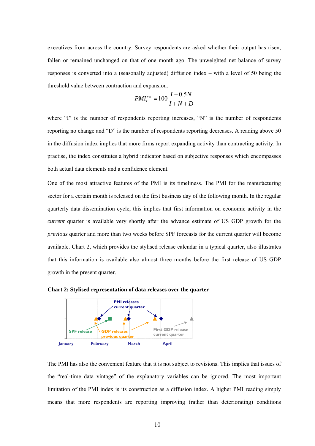executives from across the country. Survey respondents are asked whether their output has risen, fallen or remained unchanged on that of one month ago. The unweighted net balance of survey responses is converted into a (seasonally adjusted) diffusion index – with a level of 50 being the threshold value between contraction and expansion.

$$
PMI_t^{\text{var}} = 100 \frac{I + 0.5N}{I + N + D}
$$

where "I" is the number of respondents reporting increases, "N" is the number of respondents reporting no change and "D" is the number of respondents reporting decreases. A reading above 50 in the diffusion index implies that more firms report expanding activity than contracting activity. In practise, the index constitutes a hybrid indicator based on subjective responses which encompasses both actual data elements and a confidence element.

One of the most attractive features of the PMI is its timeliness. The PMI for the manufacturing sector for a certain month is released on the first business day of the following month. In the regular quarterly data dissemination cycle, this implies that first information on economic activity in the *current* quarter is available very shortly after the advance estimate of US GDP growth for the *previous* quarter and more than two weeks before SPF forecasts for the current quarter will become available. Chart 2, which provides the stylised release calendar in a typical quarter, also illustrates that this information is available also almost three months before the first release of US GDP growth in the present quarter.



**Chart 2: Stylised representation of data releases over the quarter**

The PMI has also the convenient feature that it is not subject to revisions. This implies that issues of the "real-time data vintage" of the explanatory variables can be ignored. The most important limitation of the PMI index is its construction as a diffusion index. A higher PMI reading simply means that more respondents are reporting improving (rather than deteriorating) conditions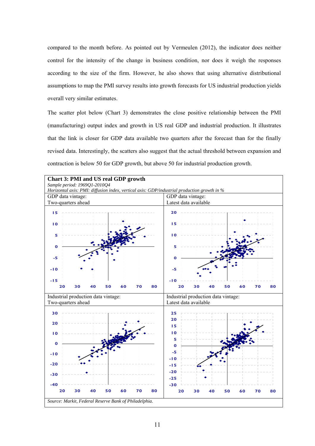compared to the month before. As pointed out by Vermeulen (2012), the indicator does neither control for the intensity of the change in business condition, nor does it weigh the responses according to the size of the firm. However, he also shows that using alternative distributional assumptions to map the PMI survey results into growth forecasts for US industrial production yields overall very similar estimates.

The scatter plot below (Chart 3) demonstrates the close positive relationship between the PMI (manufacturing) output index and growth in US real GDP and industrial production. It illustrates that the link is closer for GDP data available two quarters after the forecast than for the finally revised data. Interestingly, the scatters also suggest that the actual threshold between expansion and contraction is below 50 for GDP growth, but above 50 for industrial production growth.

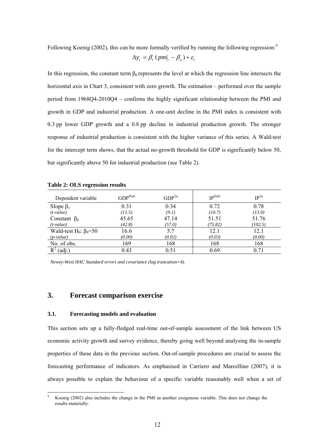Following Koenig (2002), this can be more formally verified by running the following regression:<sup>9</sup>

$$
\Delta y_t = \beta_1 (pmi_t - \beta_0) + \varepsilon_t
$$

In this regression, the constant term  $\beta_0$  represents the level at which the regression line intersects the horizontal axis in Chart 3, consistent with zero growth. The estimation – performed over the sample period from 1968Q4-2010Q4 – confirms the highly significant relationship between the PMI and growth in GDP and industrial production. A one-unit decline in the PMI index is consistent with 0.3 pp lower GDP growth and a 0.8 pp decline in industrial production growth. The stronger response of industrial production is consistent with the higher variance of this series. A Wald-test for the intercept term shows, that the actual no-growth threshold for GDP is significantly below 50, but significantly above 50 for industrial production (see Table 2).

| Dependent variable                        | GDP <sup>final</sup> | GDP <sup>2q</sup> | <b>IPfinal</b> | $IP^{2q}$ |
|-------------------------------------------|----------------------|-------------------|----------------|-----------|
| Slope $\beta_1$                           | 0.31                 | 0.34              | 0.72           | 0.78      |
| $(t-value)$                               | (11.5)               | (9.1)             | (10.7)         | (13.0)    |
| Constant $\beta_0$                        | 45.65                | 47.14             | 51.51          | 51.76     |
| $(t-value)$                               | (42.8)               | (57.0)            | (75.82)        | (102.5)   |
| Wald-test H <sub>0</sub> : $\beta_0 = 50$ | 16.6                 | 5.7               | 12.1           | 12.1      |
| $(p-value)$                               | (0.00)               | (0.02)            | (0.03)         | (0.00)    |
| No. of obs.                               | 169                  | 168               | 168            | 168       |
| $R^2$ (adj.)                              | 0.43                 | 0.51              | 0.69           | 0.71      |

*Newey-West HAC Standard errors and covariance (lag truncation=4).* 

# **3. Forecast comparison exercise**

#### **3.1. Forecasting models and evaluation**

 $\overline{a}$ 

This section sets up a fully-fledged real-time out-of-sample assessment of the link between US economic activity growth and survey evidence, thereby going well beyond analysing the in-sample properties of these data in the previous section. Out-of-sample procedures are crucial to assess the forecasting performance of indicators. As emphasised in Carriero and Marcellino (2007), it is always possible to explain the behaviour of a specific variable reasonably well when a set of

<sup>9</sup> Koenig (2002) also includes the change in the PMI as another exogenous variable. This does not change the results materially.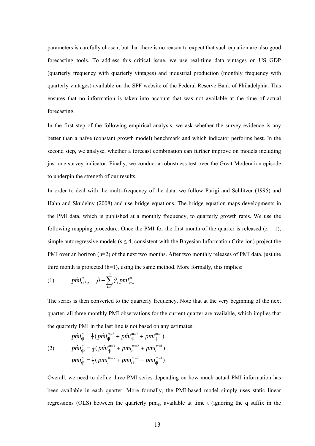parameters is carefully chosen, but that there is no reason to expect that such equation are also good forecasting tools. To address this critical issue, we use real-time data vintages on US GDP (quarterly frequency with quarterly vintages) and industrial production (monthly frequency with quarterly vintages) available on the SPF website of the Federal Reserve Bank of Philadelphia. This ensures that no information is taken into account that was not available at the time of actual forecasting.

In the first step of the following empirical analysis, we ask whether the survey evidence is any better than a naïve (constant growth model) benchmark and which indicator performs best. In the second step, we analyse, whether a forecast combination can further improve on models including just one survey indicator. Finally, we conduct a robustness test over the Great Moderation episode to underpin the strength of our results.

In order to deal with the multi-frequency of the data, we follow Parigi and Schlitzer (1995) and Hahn and Skudelny (2008) and use bridge equations. The bridge equation maps developments in the PMI data, which is published at a monthly frequency, to quarterly growth rates. We use the following mapping procedure: Once the PMI for the first month of the quarter is released  $(z = 1)$ , simple autoregressive models ( $s \leq 4$ , consistent with the Bayesian Information Criterion) project the PMI over an horizon (h=2) of the next two months. After two monthly releases of PMI data, just the third month is projected  $(h=1)$ , using the same method. More formally, this implies:

(1) 
$$
p\hat{m}i_{t+h|z}^{m} = \hat{\mu} + \sum_{s=0}^{p} \hat{\gamma}_{s} pmi_{t-s}^{m}
$$

The series is then converted to the quarterly frequency. Note that at the very beginning of the next quarter, all three monthly PMI observations for the current quarter are available, which implies that the quarterly PMI in the last line is not based on any estimates:

$$
p\hat{m}i_{t|1}^{q} = \frac{1}{3} \left( p\hat{m}i_{t|1}^{m=3} + p\hat{m}i_{t|1}^{m=2} + pmi_{t|1}^{m=1} \right)
$$
  
(2) 
$$
p\hat{m}i_{t|2}^{q} = \frac{1}{3} \left( p\hat{m}i_{t|1}^{m=3} + pmi_{t|1}^{m=2} + pmi_{t|1}^{m=1} \right).
$$

$$
pmi_{t|3}^{q} = \frac{1}{3} \left( pmi_{t|1}^{m=3} + pmi_{t|1}^{m=2} + pmi_{t|1}^{m=1} \right)
$$

Overall, we need to define three PMI series depending on how much actual PMI information has been available in each quarter. More formally, the PMI-based model simply uses static linear regressions (OLS) between the quarterly  $pmi_{t|z}$  available at time t (ignoring the q suffix in the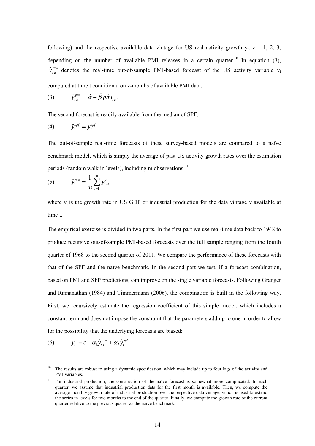following) and the respective available data vintage for US real activity growth  $y_t$ .  $z = 1, 2, 3$ , depending on the number of available PMI releases in a certain quarter.<sup>10</sup> In equation (3),  $\hat{y}_{t|z}^{pmi}$  denotes the real-time out-of-sample PMI-based forecast of the US activity variable y<sub>t</sub>

computed at time t conditional on z-months of available PMI data.

(3) 
$$
\hat{y}_{t|z}^{pmi} = \hat{\alpha} + \hat{\beta} p\hat{m}i_{t|z}.
$$

The second forecast is readily available from the median of SPF.

$$
(4) \t\t \hat{y}^{spf}_t = y^{spf}_t
$$

The out-of-sample real-time forecasts of these survey-based models are compared to a naïve benchmark model, which is simply the average of past US activity growth rates over the estimation periods (random walk in levels), including m observations: $11$ 

(5) 
$$
\hat{y}_t^{mve} = \frac{1}{m} \sum_{i=1}^m y_{t-i}^v
$$

where  $y_t$  is the growth rate in US GDP or industrial production for the data vintage v available at time t.

The empirical exercise is divided in two parts. In the first part we use real-time data back to 1948 to produce recursive out-of-sample PMI-based forecasts over the full sample ranging from the fourth quarter of 1968 to the second quarter of 2011. We compare the performance of these forecasts with that of the SPF and the naïve benchmark. In the second part we test, if a forecast combination, based on PMI and SFP predictions, can improve on the single variable forecasts. Following Granger and Ramanathan (1984) and Timmermann (2006), the combination is built in the following way. First, we recursively estimate the regression coefficient of this simple model, which includes a constant term and does not impose the constraint that the parameters add up to one in order to allow for the possibility that the underlying forecasts are biased:

$$
(6) \t y_t = c + \alpha_1 \hat{y}_{t|z}^{pmi} + \alpha_2 \hat{y}_t^{spf}
$$

 $10<sup>10</sup>$ 10 The results are robust to using a dynamic specification, which may include up to four lags of the activity and PMI variables.

<sup>&</sup>lt;sup>11</sup> For industrial production, the construction of the naïve forecast is somewhat more complicated. In each quarter, we assume that industrial production data for the first month is available. Then, we compute the average monthly growth rate of industrial production over the respective data vintage, which is used to extend the series in levels for two months to the end of the quarter. Finally, we compute the growth rate of the current quarter relative to the previous quarter as the naïve benchmark.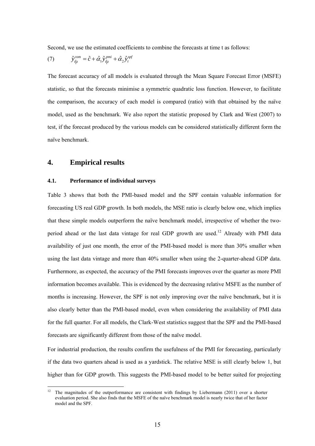Second, we use the estimated coefficients to combine the forecasts at time t as follows:

(7) 
$$
\hat{y}_{t|z}^{com} = \hat{c} + \hat{\alpha}_1 \hat{y}_{t|z}^{pmi} + \hat{\alpha}_2 \hat{y}_t^{spf}
$$

The forecast accuracy of all models is evaluated through the Mean Square Forecast Error (MSFE) statistic, so that the forecasts minimise a symmetric quadratic loss function. However, to facilitate the comparison, the accuracy of each model is compared (ratio) with that obtained by the naïve model, used as the benchmark. We also report the statistic proposed by Clark and West (2007) to test, if the forecast produced by the various models can be considered statistically different form the naïve benchmark.

## **4. Empirical results**

 $\overline{a}$ 

### **4.1. Performance of individual surveys**

Table 3 shows that both the PMI-based model and the SPF contain valuable information for forecasting US real GDP growth. In both models, the MSE ratio is clearly below one, which implies that these simple models outperform the naïve benchmark model, irrespective of whether the twoperiod ahead or the last data vintage for real GDP growth are used.<sup>12</sup> Already with PMI data availability of just one month, the error of the PMI-based model is more than 30% smaller when using the last data vintage and more than 40% smaller when using the 2-quarter-ahead GDP data. Furthermore, as expected, the accuracy of the PMI forecasts improves over the quarter as more PMI information becomes available. This is evidenced by the decreasing relative MSFE as the number of months is increasing. However, the SPF is not only improving over the naïve benchmark, but it is also clearly better than the PMI-based model, even when considering the availability of PMI data for the full quarter. For all models, the Clark-West statistics suggest that the SPF and the PMI-based forecasts are significantly different from those of the naïve model.

For industrial production, the results confirm the usefulness of the PMI for forecasting, particularly if the data two quarters ahead is used as a yardstick. The relative MSE is still clearly below 1, but higher than for GDP growth. This suggests the PMI-based model to be better suited for projecting

<sup>12</sup> The magnitudes of the outperformance are consistent with findings by Liebermann (2011) over a shorter evaluation period. She also finds that the MSFE of the naïve benchmark model is nearly twice that of her factor model and the SPF.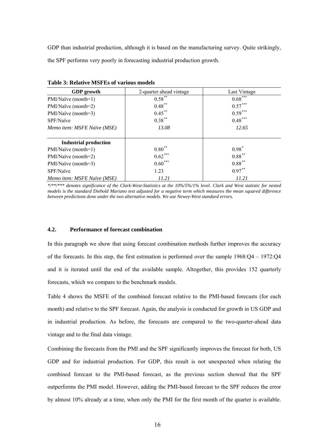GDP than industrial production, although it is based on the manufacturing survey. Quite strikingly, the SPF performs very poorly in forecasting industrial production growth.

| <b>GDP</b> growth            | 2-quarter ahead vintage | Last Vintage |  |  |
|------------------------------|-------------------------|--------------|--|--|
| PMI/Naïve (month=1)          | $0.58$ **               | $0.68***$    |  |  |
| PMI/Naïve (month=2)          | $0.48***$               | $0.57***$    |  |  |
| PMI/Naïve (month=3)          | $0.45***$               | $0.59***$    |  |  |
| SPF/Naïve                    | $0.38***$               | $0.48***$    |  |  |
| Memo item: MSFE Naïve (MSE)  | 13.08                   | 12.65        |  |  |
| <b>Industrial production</b> |                         |              |  |  |
| PMI/Naïve (month=1)          | $0.80**$                | $0.98*$      |  |  |
| PMI/Naïve (month=2)          | $0.62***$               | $0.88***$    |  |  |
| PMI/Naïve (month=3)          | $0.60***$               | $0.88***$    |  |  |
| SPF/Naïve                    | 1.23                    | $0.97***$    |  |  |
| Memo item: MSFE Naïve (MSE)  | 11.21                   | 11.21        |  |  |

**Table 3: Relative MSFEs of various models** 

*\*/\*\*/\*\*\* denotes significance of the Clark-West-Statistics at the 10%/5%/1% level. Clark and West statistic for nested models is the standard Diebold Mariano test adjusted for a negative term which measures the mean squared difference between predictions done under the two alternative models. We use Newey-West standard errors.* 

## **4.2. Performance of forecast combination**

In this paragraph we show that using forecast combination methods further improves the accuracy of the forecasts. In this step, the first estimation is performed over the sample 1968:Q4 – 1972:Q4 and it is iterated until the end of the available sample. Altogether, this provides 152 quarterly forecasts, which we compare to the benchmark models.

Table 4 shows the MSFE of the combined forecast relative to the PMI-based forecasts (for each month) and relative to the SPF forecast. Again, the analysis is conducted for growth in US GDP and in industrial production. As before, the forecasts are compared to the two-quarter-ahead data vintage and to the final data vintage.

Combining the forecasts from the PMI and the SPF significantly improves the forecast for both, US GDP and for industrial production. For GDP, this result is not unexpected when relating the combined forecast to the PMI-based forecast, as the previous section showed that the SPF outperforms the PMI model. However, adding the PMI-based forecast to the SPF reduces the error by almost 10% already at a time, when only the PMI for the first month of the quarter is available.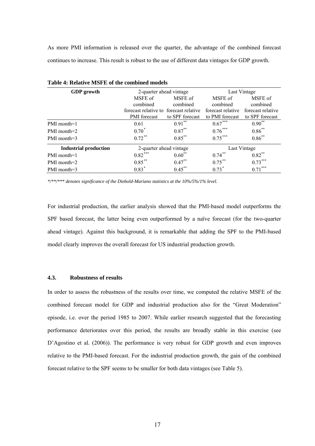As more PMI information is released over the quarter, the advantage of the combined forecast continues to increase. This result is robust to the use of different data vintages for GDP growth.

| <b>GDP</b> growth            | 2-quarter ahead vintage                |                 | Last Vintage      |                     |  |
|------------------------------|----------------------------------------|-----------------|-------------------|---------------------|--|
|                              | MSFE of                                | MSFE of         | MSFE of           | MSFE of<br>combined |  |
|                              | combined                               | combined        | combined          |                     |  |
|                              | forecast relative to forecast relative |                 | forecast relative | forecast relative   |  |
|                              | <b>PMI</b> forecast                    | to SPF forecast | to PMI forecast   | to SPF forecast     |  |
| PMI month=1                  | 0.61                                   | $0.91***$       | $0.67***$         | $0.90^{**}$         |  |
| PMI month=2                  | $0.70*$                                | $0.87***$       | $0.76***$         | $0.86^{**}$         |  |
| PMI month=3                  | $0.72$ **                              | $0.85***$       | $0.75***$         |                     |  |
| <b>Industrial production</b> | 2-quarter ahead vintage                |                 |                   | Last Vintage        |  |
| PMI month=1                  | $0.82***$                              | $0.60^{**}$     | $0.74***$         | $0.82***$           |  |
| PMI month=2                  | $0.85***$                              | $0.47***$       | $0.75***$         | $0.73***$           |  |
| PMI month=3                  | $0.83*$                                | $0.45***$       | $0.73*$           | $0.71***$           |  |

**Table 4: Relative MSFE of the combined models** 

*\*/\*\*/\*\*\* denotes significance of the Diebold-Mariano statistics at the 10%/5%/1% level.* 

For industrial production, the earlier analysis showed that the PMI-based model outperforms the SPF based forecast, the latter being even outperformed by a naïve forecast (for the two-quarter ahead vintage). Against this background, it is remarkable that adding the SPF to the PMI-based model clearly improves the overall forecast for US industrial production growth.

## **4.3. Robustness of results**

In order to assess the robustness of the results over time, we computed the relative MSFE of the combined forecast model for GDP and industrial production also for the "Great Moderation" episode, i.e. over the period 1985 to 2007. While earlier research suggested that the forecasting performance deteriorates over this period, the results are broadly stable in this exercise (see D'Agostino et al. (2006)). The performance is very robust for GDP growth and even improves relative to the PMI-based forecast. For the industrial production growth, the gain of the combined forecast relative to the SPF seems to be smaller for both data vintages (see Table 5).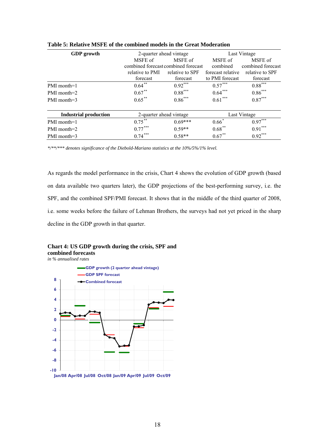| <b>GDP</b> growth     | 2-quarter ahead vintage |                                     | Last Vintage      |                   |  |
|-----------------------|-------------------------|-------------------------------------|-------------------|-------------------|--|
|                       | MSFE of                 | MSFE of                             | MSFE of           | MSFE of           |  |
|                       |                         | combined forecast combined forecast |                   | combined forecast |  |
|                       | relative to PMI         | relative to SPF                     | forecast relative | relative to SPF   |  |
|                       | forecast                | forecast                            | to PMI forecast   | forecast          |  |
| PMI month=1           | $0.64***$               | $0.92***$                           | $0.57***$         | $0.88***$         |  |
| PMI month=2           | $0.67***$               | $0.88***$                           | $0.64***$         | $0.86***$         |  |
| PMI month=3           | $0.65***$               | $0.86***$                           | $0.61***$         | $0.87***$         |  |
| Industrial production | 2-quarter ahead vintage |                                     | Last Vintage      |                   |  |
| PMI month=1           | $0.75***$               | $0.69***$                           | $0.66*$           | $0.97***$         |  |
| PMI month=2           | $0.77***$               | $0.59**$                            | $0.68***$         | $0.91***$         |  |
| PMI month=3           | $0.74***$               | $0.58**$                            | $0.67***$         | $0.92***$         |  |

| Table 5: Relative MSFE of the combined models in the Great Moderation |  |  |  |  |  |  |  |  |  |  |  |
|-----------------------------------------------------------------------|--|--|--|--|--|--|--|--|--|--|--|
|-----------------------------------------------------------------------|--|--|--|--|--|--|--|--|--|--|--|

*\*/\*\*/\*\*\* denotes significance of the Diebold-Mariano statistics at the 10%/5%/1% level.* 

As regards the model performance in the crisis, Chart 4 shows the evolution of GDP growth (based on data available two quarters later), the GDP projections of the best-performing survey, i.e. the SPF, and the combined SPF/PMI forecast. It shows that in the middle of the third quarter of 2008, i.e. some weeks before the failure of Lehman Brothers, the surveys had not yet priced in the sharp decline in the GDP growth in that quarter.



**Chart 4: US GDP growth during the crisis, SPF and combined forecasts**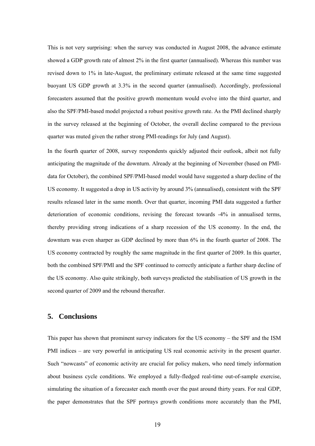This is not very surprising: when the survey was conducted in August 2008, the advance estimate showed a GDP growth rate of almost 2% in the first quarter (annualised). Whereas this number was revised down to 1% in late-August, the preliminary estimate released at the same time suggested buoyant US GDP growth at 3.3% in the second quarter (annualised). Accordingly, professional forecasters assumed that the positive growth momentum would evolve into the third quarter, and also the SPF/PMI-based model projected a robust positive growth rate. As the PMI declined sharply in the survey released at the beginning of October, the overall decline compared to the previous quarter was muted given the rather strong PMI-readings for July (and August).

In the fourth quarter of 2008, survey respondents quickly adjusted their outlook, albeit not fully anticipating the magnitude of the downturn. Already at the beginning of November (based on PMIdata for October), the combined SPF/PMI-based model would have suggested a sharp decline of the US economy. It suggested a drop in US activity by around 3% (annualised), consistent with the SPF results released later in the same month. Over that quarter, incoming PMI data suggested a further deterioration of economic conditions, revising the forecast towards -4% in annualised terms, thereby providing strong indications of a sharp recession of the US economy. In the end, the downturn was even sharper as GDP declined by more than 6% in the fourth quarter of 2008. The US economy contracted by roughly the same magnitude in the first quarter of 2009. In this quarter, both the combined SPF/PMI and the SPF continued to correctly anticipate a further sharp decline of the US economy. Also quite strikingly, both surveys predicted the stabilisation of US growth in the second quarter of 2009 and the rebound thereafter.

# **5. Conclusions**

This paper has shown that prominent survey indicators for the US economy – the SPF and the ISM PMI indices – are very powerful in anticipating US real economic activity in the present quarter. Such "nowcasts" of economic activity are crucial for policy makers, who need timely information about business cycle conditions. We employed a fully-fledged real-time out-of-sample exercise, simulating the situation of a forecaster each month over the past around thirty years. For real GDP, the paper demonstrates that the SPF portrays growth conditions more accurately than the PMI,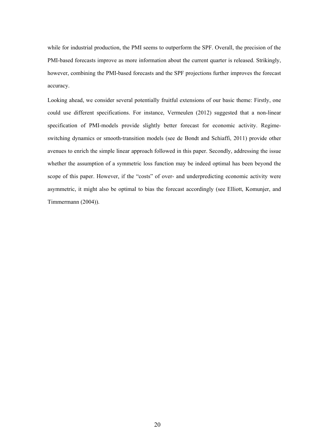while for industrial production, the PMI seems to outperform the SPF. Overall, the precision of the PMI-based forecasts improve as more information about the current quarter is released. Strikingly, however, combining the PMI-based forecasts and the SPF projections further improves the forecast accuracy.

Looking ahead, we consider several potentially fruitful extensions of our basic theme: Firstly, one could use different specifications. For instance, Vermeulen (2012) suggested that a non-linear specification of PMI-models provide slightly better forecast for economic activity. Regimeswitching dynamics or smooth-transition models (see de Bondt and Schiaffi, 2011) provide other avenues to enrich the simple linear approach followed in this paper. Secondly, addressing the issue whether the assumption of a symmetric loss function may be indeed optimal has been beyond the scope of this paper. However, if the "costs" of over- and underpredicting economic activity were asymmetric, it might also be optimal to bias the forecast accordingly (see Elliott, Komunjer, and Timmermann (2004)).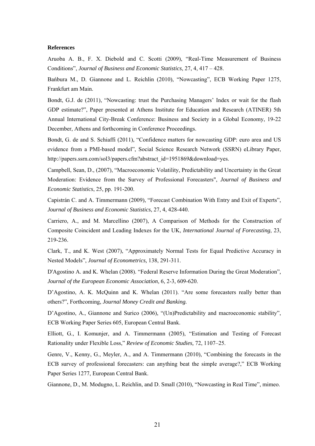#### **References**

Aruoba A. B., F. X. Diebold and C. Scotti (2009), "Real-Time Measurement of Business Conditions", *Journal of Business and Economic Statistics*, 27, 4, 417 – 428.

Bańbura M., D. Giannone and L. Reichlin (2010), "Nowcasting", ECB Working Paper 1275, Frankfurt am Main.

Bondt, G.J. de (2011), "Nowcasting: trust the Purchasing Managers' Index or wait for the flash GDP estimate?", Paper presented at Athens Institute for Education and Research (ATINER) 5th Annual International City-Break Conference: Business and Society in a Global Economy, 19-22 December, Athens and forthcoming in Conference Proceedings.

Bondt, G. de and S. Schiaffi (2011), "Confidence matters for nowcasting GDP: euro area and US evidence from a PMI-based model", Social Science Research Network (SSRN) eLibrary Paper, http://papers.ssrn.com/sol3/papers.cfm?abstract\_id=1951869&download=yes.

Campbell, Sean, D., (2007), "Macroeconomic Volatility, Predictability and Uncertainty in the Great Moderation: Evidence from the Survey of Professional Forecasters", *Journal of Business and Economic Statistics*, 25, pp. 191-200.

Capistrán C. and A. Timmermann (2009), "Forecast Combination With Entry and Exit of Experts", *Journal of Business and Economic Statistics*, 27, 4, 428-440.

Carriero, A., and M. Marcellino (2007), A Comparison of Methods for the Construction of Composite Coincident and Leading Indexes for the UK, *International Journal of Forecasting*, 23, 219-236.

Clark, T., and K. West (2007), "Approximately Normal Tests for Equal Predictive Accuracy in Nested Models", *Journal of Econometrics,* 138, 291-311.

D'Agostino A. and K. Whelan (2008). "Federal Reserve Information During the Great Moderation"*, Journal of the European Economic Association*, 6, 2-3, 609-620.

D'Agostino, A. K. McQuinn and K. Whelan (2011). "Are some forecasters really better than others?", Forthcoming, *Journal Money Credit and Banking.*

D'Agostino, A., Giannone and Surico (2006), "(Un)Predictability and macroeconomic stability", ECB Working Paper Series 605, European Central Bank.

Elliott, G., I. Komunjer, and A. Timmermann (2005), "Estimation and Testing of Forecast Rationality under Flexible Loss," *Review of Economic Studies,* 72, 1107–25.

Genre, V., Kenny, G., Meyler, A., and A. Timmermann (2010), "Combining the forecasts in the ECB survey of professional forecasters: can anything beat the simple average?," ECB Working Paper Series 1277, European Central Bank.

Giannone, D., M. Modugno, L. Reichlin, and D. Small (2010), "Nowcasting in Real Time", mimeo.